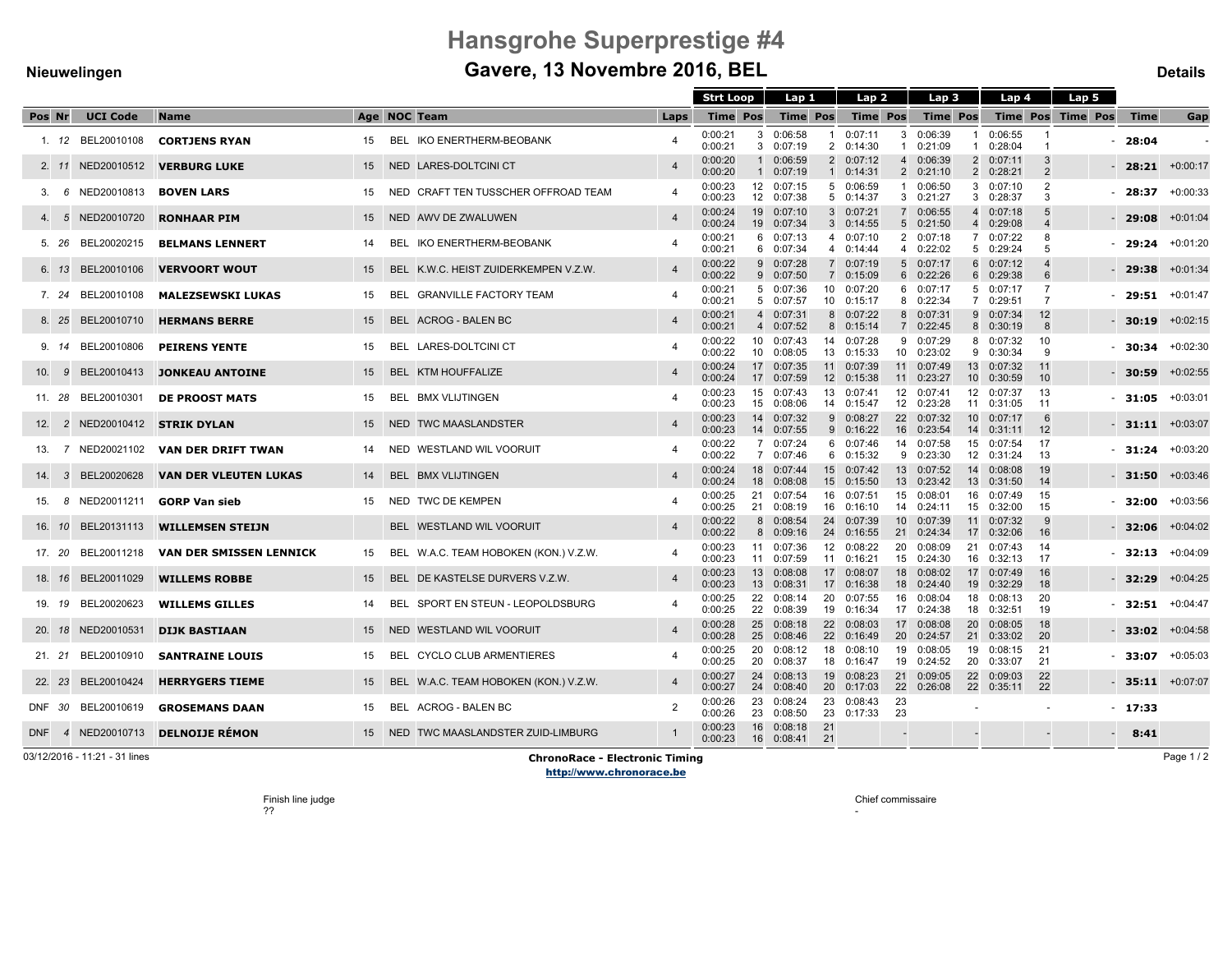# Hansgrohe Superprestige #4

## Nieuwelingen **Gavere, 13 Novembre 2016, BEL** Details Details

|        |              |                    |                                  |    |                                       |                         | <b>Strt Loop</b>   |                   | Lap 1                    |          | Lap 2                    |                     | Lap 3                    |           | Lap 4                    |                                  | Lap 5 |             |                      |
|--------|--------------|--------------------|----------------------------------|----|---------------------------------------|-------------------------|--------------------|-------------------|--------------------------|----------|--------------------------|---------------------|--------------------------|-----------|--------------------------|----------------------------------|-------|-------------|----------------------|
| Pos Nr |              | <b>UCI Code</b>    | <b>Name</b>                      |    | Age NOC Team                          | Laps                    | <b>Time Pos</b>    |                   | <b>Time Pos</b>          |          | <b>Time Pos</b>          |                     | <b>Time Pos</b>          |           | <b>Time Pos Time Pos</b> |                                  |       | <b>Time</b> | Gap                  |
|        |              | 1. 12 BEL20010108  | <b>CORTJENS RYAN</b>             | 15 | BEL IKO ENERTHERM-BEOBANK             |                         | 0:00:21<br>0:00:21 | 3                 | 0:06:58<br>3 0:07:19     | -1       | 0:07:11<br>2 0:14:30     | 3<br>$\mathbf{1}$   | 0:06:39<br>0:21:09       | -1<br>-1  | 0:06:55<br>0:28:04       | $\overline{1}$                   |       | 28:04       |                      |
|        |              | 2. 11 NED20010512  | <b>VERBURG LUKE</b>              |    | 15 NED LARES-DOLTCINI CT              | $\overline{4}$          | 0:00:20<br>0:00:20 | 1<br>$\mathbf{1}$ | 0:06:59<br>0:07:19       |          | 2 0:07:12<br>1 0:14:31   | $\overline{4}$      | 0:06:39<br>2 0:21:10     |           | 2 0:07:11<br>2 0:28:21   | 3<br>$\overline{2}$              |       | 28:21       | $+0:00:17$           |
|        | 6            | NED20010813        | <b>BOVEN LARS</b>                | 15 | NED CRAFT TEN TUSSCHER OFFROAD TEAM   |                         | 0:00:23<br>0:00:23 | 12                | 0:07:15<br>12 0:07:38    |          | 5 0:06:59<br>5 0:14:37   | $\mathbf{1}$        | 0:06:50<br>3 0:21:27     |           | 30:07:10<br>3 0:28:37    | 2<br>3                           |       | 28:37       | $+0:00:33$           |
| 4.     | -5           | NED20010720        | <b>RONHAAR PIM</b>               | 15 | NED AWV DE ZWALUWEN                   | $\overline{4}$          | 0:00:24<br>0:00:24 | 19                | 0:07:10<br>19 0:07:34    |          | 3 0:07:21<br>3 0:14:55   | $\overline{7}$      | 0:06:55<br>5 0:21:50     |           | 4 0:07:18<br>4 0:29:08   | 5                                |       | 29:08       | $+0:01:04$           |
|        | 5. 26        | BEL20020215        | <b>BELMANS LENNERT</b>           | 14 | BEL IKO ENERTHERM-BEOBANK             |                         | 0:00:21<br>0:00:21 |                   | 60:07:13<br>6 0:07:34    |          | 4 0:07:10<br>4 0:14:44   |                     | 2 0:07:18<br>4 0:22:02   |           | 7 0:07:22<br>5 0:29:24   | -8<br>5                          |       | 29:24       | $+0:01:20$           |
|        | 6. 13        | BEL20010106        | <b>VERVOORT WOUT</b>             | 15 | BEL K.W.C. HEIST ZUIDERKEMPEN V.Z.W.  | $\overline{4}$          | 0:00:22<br>0:00:22 | 9                 | 0:07:28<br>9 0:07:50     |          | 7 0:07:19<br>7 0:15:09   | 5 <sup>5</sup>      | 0:07:17<br>6 0:22:26     |           | 60:07:12<br>6 0:29:38    | 6                                |       | - 29:38     | $+0:01:34$           |
|        | 7. 24        | BEL20010108        | <b>MALEZSEWSKI LUKAS</b>         | 15 | BEL GRANVILLE FACTORY TEAM            | $\overline{4}$          | 0:00:21<br>0:00:21 |                   | 5 0:07:36<br>5 0:07:57   |          | 10 0:07:20<br>10 0:15:17 | 6<br>8              | 0:07:17<br>0:22:34       |           | 5 0:07:17<br>7 0:29:51   | $\overline{7}$<br>$\overline{7}$ |       | 29:51       | $+0:01:47$           |
|        |              | 8. 25 BEL20010710  | <b>HERMANS BERRE</b>             | 15 | BEL ACROG - BALEN BC                  | $\overline{4}$          | 0:00:21<br>0:00:21 |                   | 4 0:07:31<br>4 0:07:52   |          | 8 0:07:22<br>8 0:15:14   | 8<br>$\overline{7}$ | 0:07:31<br>0:22:45       |           | 9 0:07:34<br>8 0:30:19   | 12<br>8                          |       | - 30:19     | $+0:02:15$           |
|        |              | 9. 14 BEL20010806  | <b>PEIRENS YENTE</b>             | 15 | BEL LARES-DOLTCINI CT                 | $\overline{4}$          | 0:00:22<br>0:00:22 | 10<br>10          | 0:07:43<br>0:08:05       |          | 14 0:07:28<br>13 0:15:33 | 9<br>10             | 0:07:29<br>0:23:02       |           | 8 0:07:32<br>9 0:30:34   | 10<br>9                          |       | 30:34       | $+0:02:30$           |
| 10. 9  |              | BEL20010413        | <b>JONKEAU ANTOINE</b>           | 15 | BEL KTM HOUFFALIZE                    | $\overline{4}$          | 0:00:24<br>0:00:24 | 17                | 17 0:07:35<br>0:07:59    |          | 11 0:07:39<br>12 0:15:38 | 11                  | 11 0:07:49<br>0:23:27    |           | 13 0:07:32<br>10 0:30:59 | 11<br>10                         |       | 30:59       | $+0.02:55$           |
|        |              | 11. 28 BEL20010301 | <b>DE PROOST MATS</b>            | 15 | BEL BMX VLIJTINGEN                    |                         | 0:00:23<br>0:00:23 | 15                | 15 0:07:43<br>0:08:06    |          | 13 0:07:41<br>14 0:15:47 | 12                  | 12 0:07:41<br>0:23:28    | 11        | 12 0:07:37<br>0:31:05    | 13<br>-11                        |       | $-31:05$    | $+0:03:01$           |
|        |              | 12. 2 NED20010412  | <b>STRIK DYLAN</b>               | 15 | NED TWC MAASLANDSTER                  | $\overline{4}$          | 0:00:23<br>0:00:23 |                   | 14 0:07:32<br>14 0:07:55 |          | 9 0:08:27<br>9 0:16:22   | 16                  | 22 0:07:32<br>0:23:54    |           | 10 0:07:17<br>14 0:31:11 | 6<br>12                          |       | $-31:11$    | $+0.03:07$           |
| 13.    |              | 7 NED20021102      | VAN DER DRIFT TWAN               | 14 | NED WESTLAND WIL VOORUIT              |                         | 0:00:22<br>0:00:22 |                   | 7 0:07:24<br>7 0:07:46   |          | 6 0:07:46<br>6 0:15:32   | 14<br>9             | 0:07:58<br>0:23:30       | 12        | 15 0:07:54<br>0:31:24    | 17<br>13                         |       | 31:24       | $+0:03:20$           |
| 14.    | $\mathbf{3}$ | BEL20020628        | <b>VAN DER VLEUTEN LUKAS</b>     | 14 | BEL BMX VLIJTINGEN                    | $\overline{4}$          | 0:00:24<br>0:00:24 | 18                | 18 0:07:44<br>0:08:08    |          | 15 0:07:42<br>15 0:15:50 | 13<br>13            | 0:07:52<br>0:23:42       |           | 14 0:08:08<br>13 0:31:50 | 19<br>14                         |       | $-31:50$    | $+0.03:46$           |
| 15.    |              | 8 NED20011211      | <b>GORP Van sieb</b>             | 15 | NED TWC DE KEMPEN                     |                         | 0:00:25<br>0:00:25 | 21                | 0:07:54<br>21 0:08:19    |          | 16 0:07:51<br>16 0:16:10 | 15<br>14            | 0:08:01<br>0:24:11       |           | 16 0:07:49<br>15 0:32:00 | 15<br>15                         |       | 32:00       | $+0:03:56$           |
| 16. 10 |              | BEL20131113        | <b>WILLEMSEN STEIJN</b>          |    | BEL WESTLAND WIL VOORUIT              | $\overline{4}$          | 0:00:22<br>0:00:22 | 8                 | 0:08:54<br>8 0:09:16     |          | 24 0:07:39<br>24 0:16:55 | 10 <sup>1</sup>     | 0:07:39<br>21 0:24:34    |           | 11 0:07:32<br>17 0:32:06 | 9<br>16                          |       | 32:06       | $+0:04:02$           |
|        |              | 17. 20 BEL20011218 | <b>VAN DER SMISSEN LENNICK</b>   | 15 | BEL W.A.C. TEAM HOBOKEN (KON.) V.Z.W. |                         | 0:00:23<br>0:00:23 | 11                | 0:07:36<br>11 0:07:59    |          | 12 0:08:22<br>11 0:16:21 | 20                  | 0:08:09<br>15 0:24:30    | 21        | 0:07:43<br>16 0:32:13    | 14<br>17                         |       | $-32:13$    | $+0:04:09$           |
|        |              | 18. 16 BEL20011029 | <b>WILLEMS ROBBE</b>             | 15 | BEL DE KASTELSE DURVERS V.Z.W.        | $\overline{4}$          | 0:00:23<br>0:00:23 | 13 <sup>1</sup>   | 0:08:08<br>13 0:08:31    |          | 17 0:08:07<br>17 0:16:38 | 18                  | 0:08:02<br>18 0:24:40    |           | 17 0:07:49<br>19 0:32:29 | 16<br>18                         |       | - 32:29     | $+0.04:25$           |
|        |              | 19. 19 BEL20020623 | <b>WILLEMS GILLES</b>            | 14 | BEL SPORT EN STEUN - LEOPOLDSBURG     | $\overline{\mathbf{4}}$ | 0:00:25<br>0:00:25 |                   | 22 0:08:14<br>22 0:08:39 |          | 20 0:07:55<br>19 0:16:34 |                     | 16 0:08:04<br>17 0:24:38 |           | 18 0:08:13<br>18 0:32:51 | 20<br>19                         |       | 32:51       | $+0:04:47$           |
|        |              | 20. 18 NED20010531 | <b>DIJK BASTIAAN</b>             | 15 | NED WESTLAND WIL VOORUIT              | $\overline{4}$          | 0:00:28<br>0:00:28 | 25                | 0:08:18<br>25 0:08:46    |          | 22 0:08:03<br>22 0:16:49 | 17<br>20            | 0:08:08<br>0:24:57       | <b>20</b> | 0:08:05<br>21 0:33:02    | 18<br>20                         |       | - 33:02     | $+0:04:58$           |
|        |              | 21. 21 BEL20010910 | <b>SANTRAINE LOUIS</b>           | 15 | BEL CYCLO CLUB ARMENTIERES            | $\overline{\mathbf{4}}$ | 0:00:25<br>0:00:25 | 20<br>20          | 0:08:12<br>0:08:37       |          | 18 0:08:10<br>18 0:16:47 | 19                  | 0:08:05<br>19 0:24:52    |           | 19 0:08:15<br>20 0:33:07 | 21<br>21                         |       | $-33:07$    | $+0:05:03$           |
|        |              | 22. 23 BEL20010424 | <b>HERRYGERS TIEME</b>           | 15 | BEL W.A.C. TEAM HOBOKEN (KON.) V.Z.W. | $\overline{4}$          | 0:00:27<br>0:00:27 |                   | 24 0:08:13<br>24 0:08:40 |          | 19 0:08:23<br>20 0:17:03 |                     | 21 0:09:05<br>22 0:26:08 |           | 22 0:09:03<br>22 0:35:11 | 22<br>22                         |       |             | $-$ 35:11 $+0.07:07$ |
| DNF 30 |              | BEL20010619        | <b>GROSEMANS DAAN</b>            | 15 | BEL ACROG - BALEN BC                  | $\mathcal{P}$           | 0:00:26<br>0:00:26 | 23<br>23          | 0:08:24<br>0:08:50       | 23       | 23 0:08:43<br>0:17:33    | 23<br>23            |                          |           |                          |                                  |       | $-17:33$    |                      |
|        |              |                    | DNF 4 NED20010713 DELNOIJE RÉMON | 15 | NED TWC MAASLANDSTER ZUID-LIMBURG     |                         | 0:00:23<br>0:00:23 | 16                | 0:08:18<br>16 0:08:41    | 21<br>21 |                          |                     |                          |           |                          |                                  |       | $-8:41$     |                      |

03/12/2016 - 11:21 - 31 lines **ChronoRace - Electronic Timing** http://www.chronorace.be

Page 1 / 2

Finish line judge ??

Chief commissaire

-